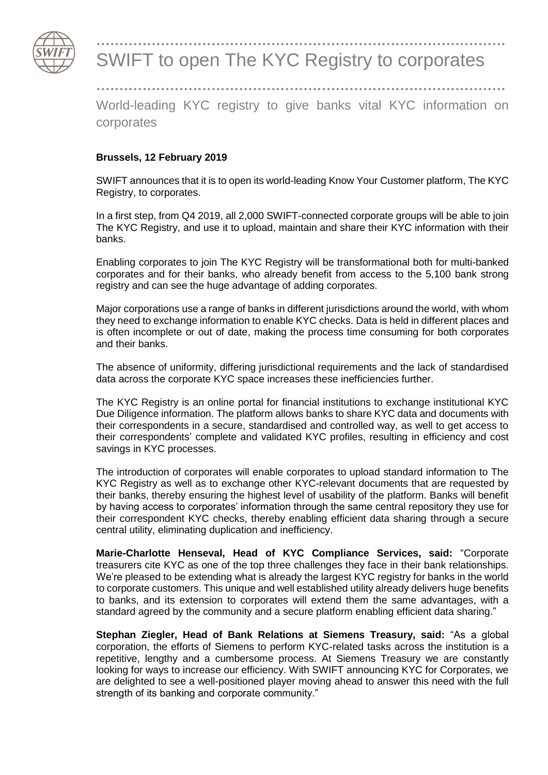

......................................................................................... SWIFT to open The KYC Registry to corporates

.........................................................................................

World-leading KYC registry to give banks vital KYC information on corporates

## **Brussels, 12 February 2019**

SWIFT announces that it is to open its world-leading Know Your Customer platform, The KYC Registry, to corporates.

In a first step, from Q4 2019, all 2,000 SWIFT-connected corporate groups will be able to join The KYC Registry, and use it to upload, maintain and share their KYC information with their banks.

Enabling corporates to join The KYC Registry will be transformational both for multi-banked corporates and for their banks, who already benefit from access to the 5,100 bank strong registry and can see the huge advantage of adding corporates.

Major corporations use a range of banks in different jurisdictions around the world, with whom they need to exchange information to enable KYC checks. Data is held in different places and is often incomplete or out of date, making the process time consuming for both corporates and their banks.

The absence of uniformity, differing jurisdictional requirements and the lack of standardised data across the corporate KYC space increases these inefficiencies further.

The KYC Registry is an online portal for financial institutions to exchange institutional KYC Due Diligence information. The platform allows banks to share KYC data and documents with their correspondents in a secure, standardised and controlled way, as well to get access to their correspondents' complete and validated KYC profiles, resulting in efficiency and cost savings in KYC processes.

The introduction of corporates will enable corporates to upload standard information to The KYC Registry as well as to exchange other KYC-relevant documents that are requested by their banks, thereby ensuring the highest level of usability of the platform. Banks will benefit by having access to corporates' information through the same central repository they use for their correspondent KYC checks, thereby enabling efficient data sharing through a secure central utility, eliminating duplication and inefficiency.

**Marie-Charlotte Henseval, Head of KYC Compliance Services, said:** "Corporate treasurers cite KYC as one of the top three challenges they face in their bank relationships. We're pleased to be extending what is already the largest KYC registry for banks in the world to corporate customers. This unique and well established utility already delivers huge benefits to banks, and its extension to corporates will extend them the same advantages, with a standard agreed by the community and a secure platform enabling efficient data sharing."

**Stephan Ziegler, Head of Bank Relations at Siemens Treasury, said:** "As a global corporation, the efforts of Siemens to perform KYC-related tasks across the institution is a repetitive, lengthy and a cumbersome process. At Siemens Treasury we are constantly looking for ways to increase our efficiency. With SWIFT announcing KYC for Corporates, we are delighted to see a well-positioned player moving ahead to answer this need with the full strength of its banking and corporate community."